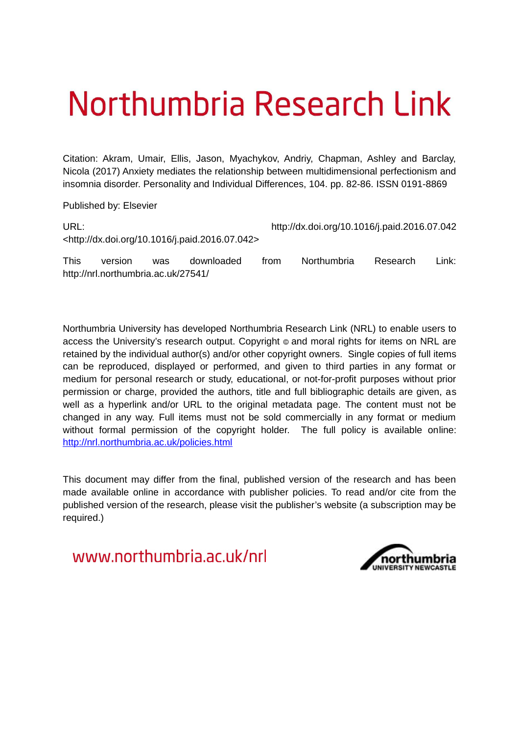# Northumbria Research Link

Citation: Akram, Umair, Ellis, Jason, Myachykov, Andriy, Chapman, Ashley and Barclay, Nicola (2017) Anxiety mediates the relationship between multidimensional perfectionism and insomnia disorder. Personality and Individual Differences, 104. pp. 82-86. ISSN 0191-8869

Published by: Elsevier

| URL:        |         |     |                                                                |      | http://dx.doi.org/10.1016/j.paid.2016.07.042 |          |        |  |
|-------------|---------|-----|----------------------------------------------------------------|------|----------------------------------------------|----------|--------|--|
|             |         |     | <http: 10.1016="" dx.doi.org="" j.paid.2016.07.042=""></http:> |      |                                              |          |        |  |
| <b>This</b> | version | was | downloaded                                                     | trom | <b>Northumbria</b>                           | Research | Link:∶ |  |

http://nrl.northumbria.ac.uk/27541/

Northumbria University has developed Northumbria Research Link (NRL) to enable users to access the University's research output. Copyright  $\circ$  and moral rights for items on NRL are retained by the individual author(s) and/or other copyright owners. Single copies of full items can be reproduced, displayed or performed, and given to third parties in any format or medium for personal research or study, educational, or not-for-profit purposes without prior permission or charge, provided the authors, title and full bibliographic details are given, as well as a hyperlink and/or URL to the original metadata page. The content must not be changed in any way. Full items must not be sold commercially in any format or medium without formal permission of the copyright holder. The full policy is available online: <http://nrl.northumbria.ac.uk/policies.html>

This document may differ from the final, published version of the research and has been made available online in accordance with publisher policies. To read and/or cite from the published version of the research, please visit the publisher's website (a subscription may be required.)

www.northumbria.ac.uk/nrl

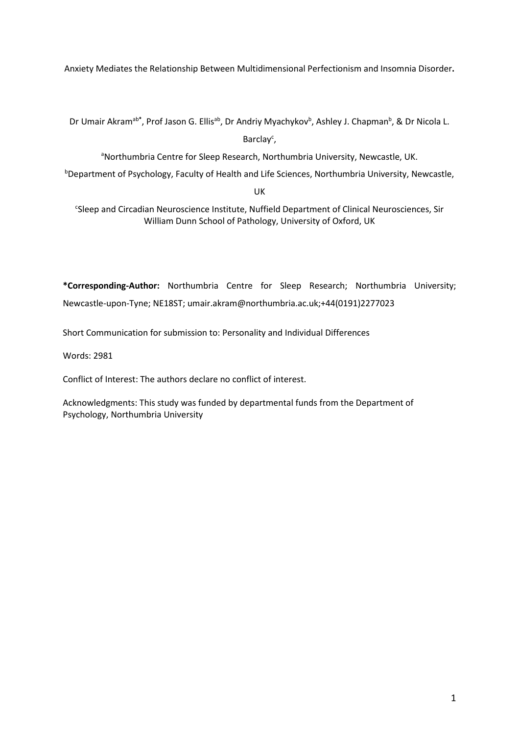Anxiety Mediates the Relationship Between Multidimensional Perfectionism and Insomnia Disorder**.** 

Dr Umair Akram<sup>ab\*</sup>, Prof Jason G. Ellis<sup>ab</sup>, Dr Andriy Myachykov<sup>b</sup>, Ashley J. Chapman<sup>b</sup>, & Dr Nicola L.

Barclay<sup>c</sup>,

aNorthumbria Centre for Sleep Research, Northumbria University, Newcastle, UK.

**Department of Psychology, Faculty of Health and Life Sciences, Northumbria University, Newcastle,** 

UK

c Sleep and Circadian Neuroscience Institute, Nuffield Department of Clinical Neurosciences, Sir William Dunn School of Pathology, University of Oxford, UK

**\*Corresponding-Author:** Northumbria Centre for Sleep Research; Northumbria University; Newcastle-upon-Tyne; NE18ST; umair.akram@northumbria.ac.uk;+44(0191)2277023

Short Communication for submission to: Personality and Individual Differences

Words: 2981

Conflict of Interest: The authors declare no conflict of interest.

Acknowledgments: This study was funded by departmental funds from the Department of Psychology, Northumbria University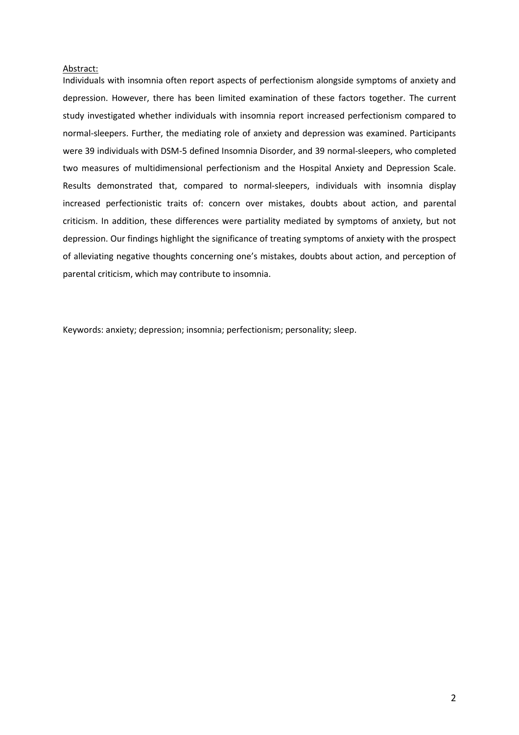## Abstract:

Individuals with insomnia often report aspects of perfectionism alongside symptoms of anxiety and depression. However, there has been limited examination of these factors together. The current study investigated whether individuals with insomnia report increased perfectionism compared to normal-sleepers. Further, the mediating role of anxiety and depression was examined. Participants were 39 individuals with DSM-5 defined Insomnia Disorder, and 39 normal-sleepers, who completed two measures of multidimensional perfectionism and the Hospital Anxiety and Depression Scale. Results demonstrated that, compared to normal-sleepers, individuals with insomnia display increased perfectionistic traits of: concern over mistakes, doubts about action, and parental criticism. In addition, these differences were partiality mediated by symptoms of anxiety, but not depression. Our findings highlight the significance of treating symptoms of anxiety with the prospect of alleviating negative thoughts concerning one's mistakes, doubts about action, and perception of parental criticism, which may contribute to insomnia.

Keywords: anxiety; depression; insomnia; perfectionism; personality; sleep.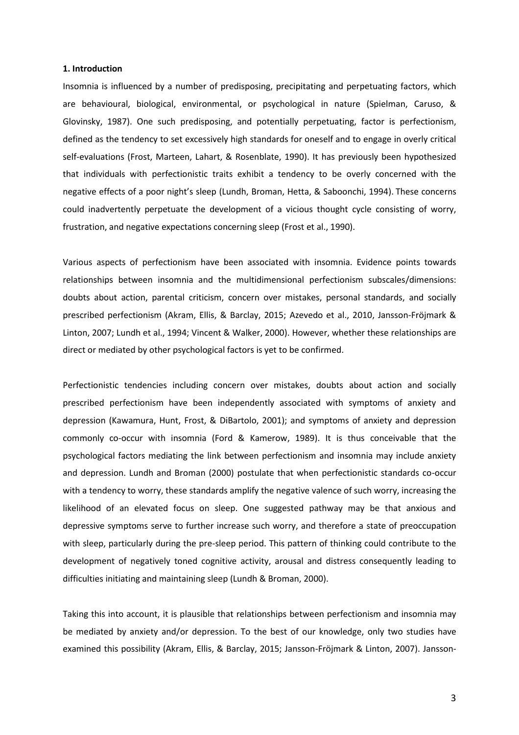## **1. Introduction**

Insomnia is influenced by a number of predisposing, precipitating and perpetuating factors, which are behavioural, biological, environmental, or psychological in nature (Spielman, Caruso, & Glovinsky, 1987). One such predisposing, and potentially perpetuating, factor is perfectionism, defined as the tendency to set excessively high standards for oneself and to engage in overly critical self-evaluations (Frost, Marteen, Lahart, & Rosenblate, 1990). It has previously been hypothesized that individuals with perfectionistic traits exhibit a tendency to be overly concerned with the negative effects of a poor night's sleep (Lundh, Broman, Hetta, & Saboonchi, 1994). These concerns could inadvertently perpetuate the development of a vicious thought cycle consisting of worry, frustration, and negative expectations concerning sleep (Frost et al., 1990).

Various aspects of perfectionism have been associated with insomnia. Evidence points towards relationships between insomnia and the multidimensional perfectionism subscales/dimensions: doubts about action, parental criticism, concern over mistakes, personal standards, and socially prescribed perfectionism (Akram, Ellis, & Barclay, 2015; Azevedo et al., 2010, Jansson-Fröjmark & Linton, 2007; Lundh et al., 1994; Vincent & Walker, 2000). However, whether these relationships are direct or mediated by other psychological factors is yet to be confirmed.

Perfectionistic tendencies including concern over mistakes, doubts about action and socially prescribed perfectionism have been independently associated with symptoms of anxiety and depression (Kawamura, Hunt, Frost, & DiBartolo, 2001); and symptoms of anxiety and depression commonly co-occur with insomnia (Ford & Kamerow, 1989). It is thus conceivable that the psychological factors mediating the link between perfectionism and insomnia may include anxiety and depression. Lundh and Broman (2000) postulate that when perfectionistic standards co-occur with a tendency to worry, these standards amplify the negative valence of such worry, increasing the likelihood of an elevated focus on sleep. One suggested pathway may be that anxious and depressive symptoms serve to further increase such worry, and therefore a state of preoccupation with sleep, particularly during the pre-sleep period. This pattern of thinking could contribute to the development of negatively toned cognitive activity, arousal and distress consequently leading to difficulties initiating and maintaining sleep (Lundh & Broman, 2000).

Taking this into account, it is plausible that relationships between perfectionism and insomnia may be mediated by anxiety and/or depression. To the best of our knowledge, only two studies have examined this possibility (Akram, Ellis, & Barclay, 2015; Jansson-Fröjmark & Linton, 2007). Jansson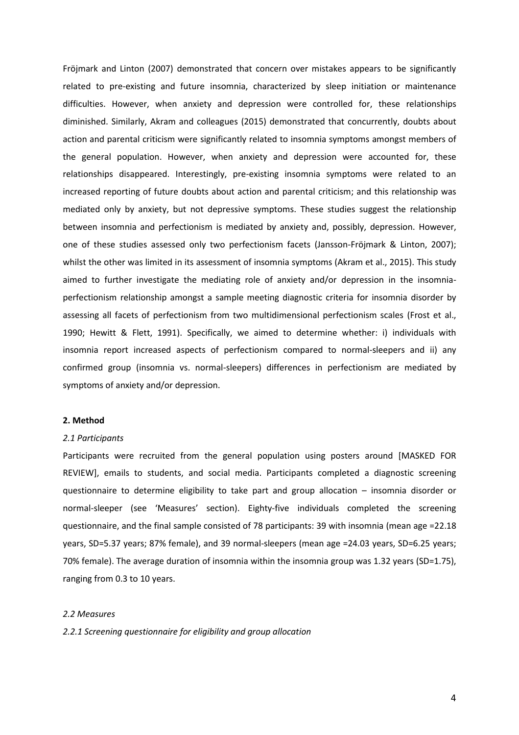Fröjmark and Linton (2007) demonstrated that concern over mistakes appears to be significantly related to pre-existing and future insomnia, characterized by sleep initiation or maintenance difficulties. However, when anxiety and depression were controlled for, these relationships diminished. Similarly, Akram and colleagues (2015) demonstrated that concurrently, doubts about action and parental criticism were significantly related to insomnia symptoms amongst members of the general population. However, when anxiety and depression were accounted for, these relationships disappeared. Interestingly, pre-existing insomnia symptoms were related to an increased reporting of future doubts about action and parental criticism; and this relationship was mediated only by anxiety, but not depressive symptoms. These studies suggest the relationship between insomnia and perfectionism is mediated by anxiety and, possibly, depression. However, one of these studies assessed only two perfectionism facets (Jansson-Fröjmark & Linton, 2007); whilst the other was limited in its assessment of insomnia symptoms (Akram et al., 2015). This study aimed to further investigate the mediating role of anxiety and/or depression in the insomniaperfectionism relationship amongst a sample meeting diagnostic criteria for insomnia disorder by assessing all facets of perfectionism from two multidimensional perfectionism scales (Frost et al., 1990; Hewitt & Flett, 1991). Specifically, we aimed to determine whether: i) individuals with insomnia report increased aspects of perfectionism compared to normal-sleepers and ii) any confirmed group (insomnia vs. normal-sleepers) differences in perfectionism are mediated by symptoms of anxiety and/or depression.

## **2. Method**

# *2.1 Participants*

Participants were recruited from the general population using posters around [MASKED FOR REVIEW], emails to students, and social media. Participants completed a diagnostic screening questionnaire to determine eligibility to take part and group allocation – insomnia disorder or normal-sleeper (see 'Measures' section). Eighty-five individuals completed the screening questionnaire, and the final sample consisted of 78 participants: 39 with insomnia (mean age =22.18 years, SD=5.37 years; 87% female), and 39 normal-sleepers (mean age =24.03 years, SD=6.25 years; 70% female). The average duration of insomnia within the insomnia group was 1.32 years (SD=1.75), ranging from 0.3 to 10 years.

#### *2.2 Measures*

*2.2.1 Screening questionnaire for eligibility and group allocation*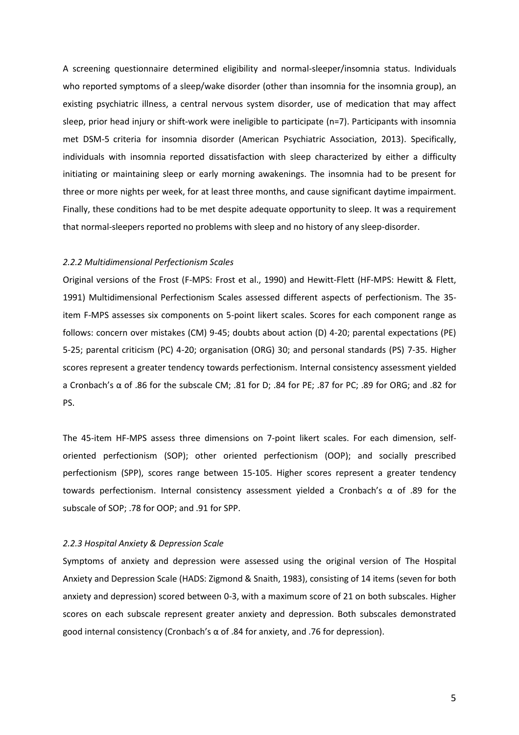A screening questionnaire determined eligibility and normal-sleeper/insomnia status. Individuals who reported symptoms of a sleep/wake disorder (other than insomnia for the insomnia group), an existing psychiatric illness, a central nervous system disorder, use of medication that may affect sleep, prior head injury or shift-work were ineligible to participate (n=7). Participants with insomnia met DSM-5 criteria for insomnia disorder (American Psychiatric Association, 2013). Specifically, individuals with insomnia reported dissatisfaction with sleep characterized by either a difficulty initiating or maintaining sleep or early morning awakenings. The insomnia had to be present for three or more nights per week, for at least three months, and cause significant daytime impairment. Finally, these conditions had to be met despite adequate opportunity to sleep. It was a requirement that normal-sleepers reported no problems with sleep and no history of any sleep-disorder.

## *2.2.2 Multidimensional Perfectionism Scales*

Original versions of the Frost (F-MPS: Frost et al., 1990) and Hewitt-Flett (HF-MPS: Hewitt & Flett, 1991) Multidimensional Perfectionism Scales assessed different aspects of perfectionism. The 35 item F-MPS assesses six components on 5-point likert scales. Scores for each component range as follows: concern over mistakes (CM) 9-45; doubts about action (D) 4-20; parental expectations (PE) 5-25; parental criticism (PC) 4-20; organisation (ORG) 30; and personal standards (PS) 7-35. Higher scores represent a greater tendency towards perfectionism. Internal consistency assessment yielded a Cronbach's  $\alpha$  of .86 for the subscale CM; .81 for D; .84 for PE; .87 for PC; .89 for ORG; and .82 for PS.

The 45-item HF-MPS assess three dimensions on 7-point likert scales. For each dimension, selforiented perfectionism (SOP); other oriented perfectionism (OOP); and socially prescribed perfectionism (SPP), scores range between 15-105. Higher scores represent a greater tendency towards perfectionism. Internal consistency assessment yielded a Cronbach's  $\alpha$  of .89 for the subscale of SOP; .78 for OOP; and .91 for SPP.

## *2.2.3 Hospital Anxiety & Depression Scale*

Symptoms of anxiety and depression were assessed using the original version of The Hospital Anxiety and Depression Scale (HADS: Zigmond & Snaith, 1983), consisting of 14 items (seven for both anxiety and depression) scored between 0-3, with a maximum score of 21 on both subscales. Higher scores on each subscale represent greater anxiety and depression. Both subscales demonstrated good internal consistency (Cronbach's  $\alpha$  of .84 for anxiety, and .76 for depression).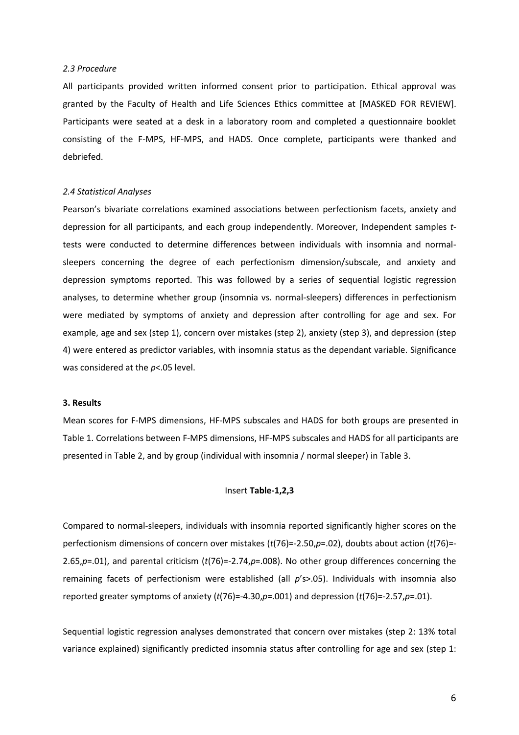# *2.3 Procedure*

All participants provided written informed consent prior to participation. Ethical approval was granted by the Faculty of Health and Life Sciences Ethics committee at [MASKED FOR REVIEW]. Participants were seated at a desk in a laboratory room and completed a questionnaire booklet consisting of the F-MPS, HF-MPS, and HADS. Once complete, participants were thanked and debriefed.

## *2.4 Statistical Analyses*

Pearson's bivariate correlations examined associations between perfectionism facets, anxiety and depression for all participants, and each group independently. Moreover, Independent samples *t*tests were conducted to determine differences between individuals with insomnia and normalsleepers concerning the degree of each perfectionism dimension/subscale, and anxiety and depression symptoms reported. This was followed by a series of sequential logistic regression analyses, to determine whether group (insomnia vs. normal-sleepers) differences in perfectionism were mediated by symptoms of anxiety and depression after controlling for age and sex. For example, age and sex (step 1), concern over mistakes (step 2), anxiety (step 3), and depression (step 4) were entered as predictor variables, with insomnia status as the dependant variable. Significance was considered at the *p*<.05 level.

## **3. Results**

Mean scores for F-MPS dimensions, HF-MPS subscales and HADS for both groups are presented in Table 1. Correlations between F-MPS dimensions, HF-MPS subscales and HADS for all participants are presented in Table 2, and by group (individual with insomnia / normal sleeper) in Table 3.

#### Insert **Table-1,2,3**

Compared to normal-sleepers, individuals with insomnia reported significantly higher scores on the perfectionism dimensions of concern over mistakes (*t*(76)=-2.50,*p*=.02), doubts about action (*t*(76)=- 2.65,*p*=.01), and parental criticism (*t*(76)=-2.74,*p*=.008). No other group differences concerning the remaining facets of perfectionism were established (all *p*'s>.05). Individuals with insomnia also reported greater symptoms of anxiety (*t*(76)=-4.30,*p*=.001) and depression (*t*(76)=-2.57,*p*=.01).

Sequential logistic regression analyses demonstrated that concern over mistakes (step 2: 13% total variance explained) significantly predicted insomnia status after controlling for age and sex (step 1: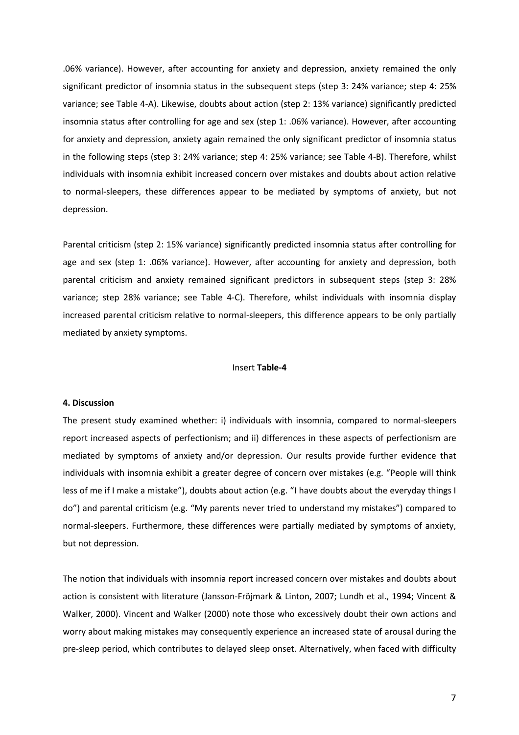.06% variance). However, after accounting for anxiety and depression, anxiety remained the only significant predictor of insomnia status in the subsequent steps (step 3: 24% variance; step 4: 25% variance; see Table 4-A). Likewise, doubts about action (step 2: 13% variance) significantly predicted insomnia status after controlling for age and sex (step 1: .06% variance). However, after accounting for anxiety and depression, anxiety again remained the only significant predictor of insomnia status in the following steps (step 3: 24% variance; step 4: 25% variance; see Table 4-B). Therefore, whilst individuals with insomnia exhibit increased concern over mistakes and doubts about action relative to normal-sleepers, these differences appear to be mediated by symptoms of anxiety, but not depression.

Parental criticism (step 2: 15% variance) significantly predicted insomnia status after controlling for age and sex (step 1: .06% variance). However, after accounting for anxiety and depression, both parental criticism and anxiety remained significant predictors in subsequent steps (step 3: 28% variance; step 28% variance; see Table 4-C). Therefore, whilst individuals with insomnia display increased parental criticism relative to normal-sleepers, this difference appears to be only partially mediated by anxiety symptoms.

#### Insert Table-4

#### 4. Discussion

The present study examined whether: i) individuals with insomnia, compared to normal-sleepers report increased aspects of perfectionism; and ii) differences in these aspects of perfectionism are mediated by symptoms of anxiety and/or depression. Our results provide further evidence that individuals with insomnia exhibit a greater degree of concern over mistakes (e.g. "People will think less of me if I make a mistake"), doubts about action (e.g. "I have doubts about the everyday things I do") and parental criticism (e.g. "My parents never tried to understand my mistakes") compared to normal-sleepers. Furthermore, these differences were partially mediated by symptoms of anxiety, but not depression.

The notion that individuals with insomnia report increased concern over mistakes and doubts about action is consistent with literature (Jansson-Fröjmark & Linton, 2007; Lundh et al., 1994; Vincent & Walker, 2000). Vincent and Walker (2000) note those who excessively doubt their own actions and worry about making mistakes may consequently experience an increased state of arousal during the pre-sleep period, which contributes to delayed sleep onset. Alternatively, when faced with difficulty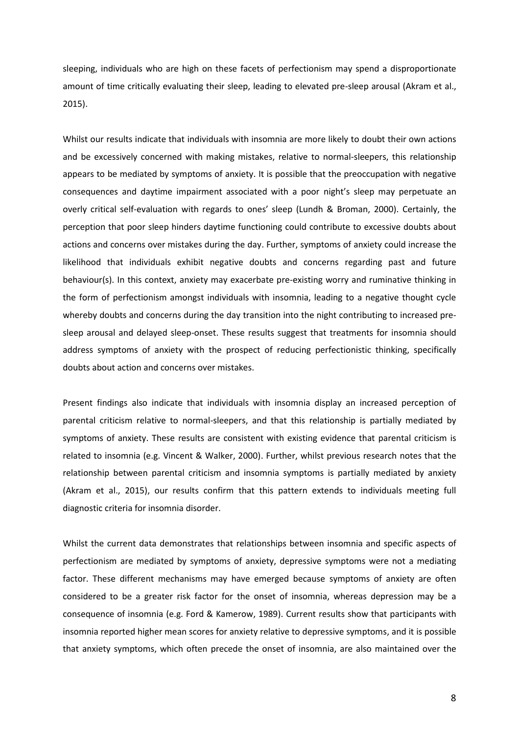sleeping, individuals who are high on these facets of perfectionism may spend a disproportionate amount of time critically evaluating their sleep, leading to elevated pre-sleep arousal (Akram et al., 2015).

Whilst our results indicate that individuals with insomnia are more likely to doubt their own actions and be excessively concerned with making mistakes, relative to normal-sleepers, this relationship appears to be mediated by symptoms of anxiety. It is possible that the preoccupation with negative consequences and daytime impairment associated with a poor night's sleep may perpetuate an overly critical self-evaluation with regards to ones' sleep (Lundh & Broman, 2000). Certainly, the perception that poor sleep hinders daytime functioning could contribute to excessive doubts about actions and concerns over mistakes during the day. Further, symptoms of anxiety could increase the likelihood that individuals exhibit negative doubts and concerns regarding past and future behaviour(s). In this context, anxiety may exacerbate pre-existing worry and ruminative thinking in the form of perfectionism amongst individuals with insomnia, leading to a negative thought cycle whereby doubts and concerns during the day transition into the night contributing to increased presleep arousal and delayed sleep-onset. These results suggest that treatments for insomnia should address symptoms of anxiety with the prospect of reducing perfectionistic thinking, specifically doubts about action and concerns over mistakes.

Present findings also indicate that individuals with insomnia display an increased perception of parental criticism relative to normal-sleepers, and that this relationship is partially mediated by symptoms of anxiety. These results are consistent with existing evidence that parental criticism is related to insomnia (e.g. Vincent & Walker, 2000). Further, whilst previous research notes that the relationship between parental criticism and insomnia symptoms is partially mediated by anxiety (Akram et al., 2015), our results confirm that this pattern extends to individuals meeting full diagnostic criteria for insomnia disorder.

Whilst the current data demonstrates that relationships between insomnia and specific aspects of perfectionism are mediated by symptoms of anxiety, depressive symptoms were not a mediating factor. These different mechanisms may have emerged because symptoms of anxiety are often considered to be a greater risk factor for the onset of insomnia, whereas depression may be a consequence of insomnia (e.g. Ford & Kamerow, 1989). Current results show that participants with insomnia reported higher mean scores for anxiety relative to depressive symptoms, and it is possible that anxiety symptoms, which often precede the onset of insomnia, are also maintained over the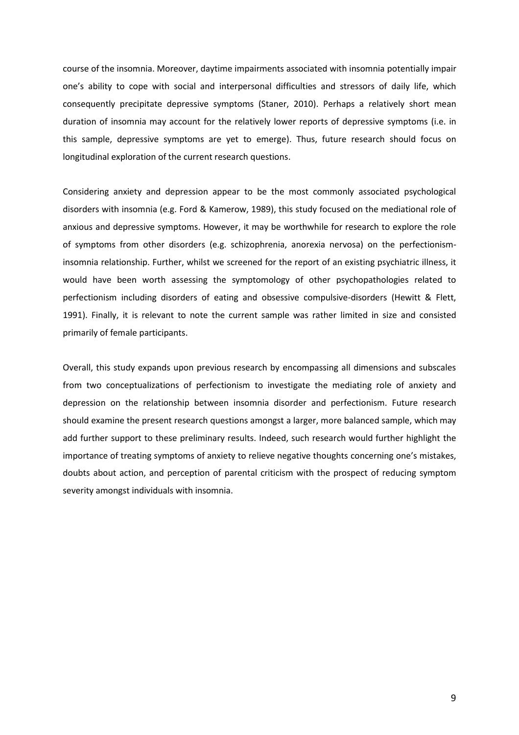course of the insomnia. Moreover, daytime impairments associated with insomnia potentially impair one's ability to cope with social and interpersonal difficulties and stressors of daily life, which consequently precipitate depressive symptoms (Staner, 2010). Perhaps a relatively short mean duration of insomnia may account for the relatively lower reports of depressive symptoms (i.e. in this sample, depressive symptoms are yet to emerge). Thus, future research should focus on longitudinal exploration of the current research questions.

Considering anxiety and depression appear to be the most commonly associated psychological disorders with insomnia (e.g. Ford & Kamerow, 1989), this study focused on the mediational role of anxious and depressive symptoms. However, it may be worthwhile for research to explore the role of symptoms from other disorders (e.g. schizophrenia, anorexia nervosa) on the perfectionisminsomnia relationship. Further, whilst we screened for the report of an existing psychiatric illness, it would have been worth assessing the symptomology of other psychopathologies related to perfectionism including disorders of eating and obsessive compulsive-disorders (Hewitt & Flett, 1991). Finally, it is relevant to note the current sample was rather limited in size and consisted primarily of female participants.

Overall, this study expands upon previous research by encompassing all dimensions and subscales from two conceptualizations of perfectionism to investigate the mediating role of anxiety and depression on the relationship between insomnia disorder and perfectionism. Future research should examine the present research questions amongst a larger, more balanced sample, which may add further support to these preliminary results. Indeed, such research would further highlight the importance of treating symptoms of anxiety to relieve negative thoughts concerning one's mistakes, doubts about action, and perception of parental criticism with the prospect of reducing symptom severity amongst individuals with insomnia.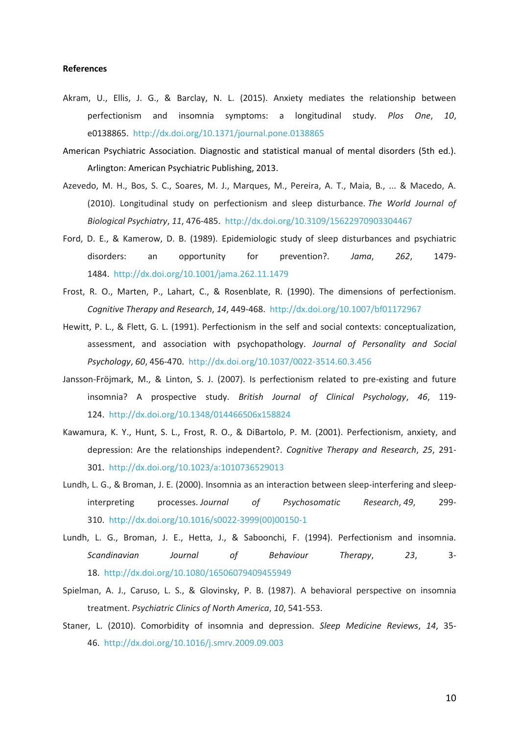## **References**

- Akram, U., Ellis, J. G., & Barclay, N. L. (2015). Anxiety mediates the relationship between perfectionism and insomnia symptoms: a longitudinal study. *Plos One*, *10*, e0138865.<http://dx.doi.org/10.1371/journal.pone.0138865>
- American Psychiatric Association. Diagnostic and statistical manual of mental disorders (5th ed.). Arlington: American Psychiatric Publishing, 2013.
- Azevedo, M. H., Bos, S. C., Soares, M. J., Marques, M., Pereira, A. T., Maia, B., ... & Macedo, A. (2010). Longitudinal study on perfectionism and sleep disturbance. *The World Journal of Biological Psychiatry*, *11*, 476-485[. http://dx.doi.org/10.3109/15622970903304467](http://dx.doi.org/10.3109/15622970903304467)
- Ford, D. E., & Kamerow, D. B. (1989). Epidemiologic study of sleep disturbances and psychiatric disorders: an opportunity for prevention?. *Jama*, *262*, 1479- 1484.<http://dx.doi.org/10.1001/jama.262.11.1479>
- Frost, R. O., Marten, P., Lahart, C., & Rosenblate, R. (1990). The dimensions of perfectionism. *Cognitive Therapy and Research*, *14*, 449-468.<http://dx.doi.org/10.1007/bf01172967>
- Hewitt, P. L., & Flett, G. L. (1991). Perfectionism in the self and social contexts: conceptualization, assessment, and association with psychopathology. *Journal of Personality and Social Psychology*, *60*, 456-470[. http://dx.doi.org/10.1037/0022-3514.60.3.456](http://dx.doi.org/10.1037/0022-3514.60.3.456)
- Jansson‐Fröjmark, M., & Linton, S. J. (2007). Is perfectionism related to pre‐existing and future insomnia? A prospective study. *British Journal of Clinical Psychology*, *46*, 119- 124.<http://dx.doi.org/10.1348/014466506x158824>
- Kawamura, K. Y., Hunt, S. L., Frost, R. O., & DiBartolo, P. M. (2001). Perfectionism, anxiety, and depression: Are the relationships independent?. *Cognitive Therapy and Research*, *25*, 291- 301.<http://dx.doi.org/10.1023/a:1010736529013>
- Lundh, L. G., & Broman, J. E. (2000). Insomnia as an interaction between sleep-interfering and sleepinterpreting processes. *Journal of Psychosomatic Research*, *49*, 299- 310. [http://dx.doi.org/10.1016/s0022-3999\(00\)00150-1](http://dx.doi.org/10.1016/s0022-3999(00)00150-1)
- Lundh, L. G., Broman, J. E., Hetta, J., & Saboonchi, F. (1994). Perfectionism and insomnia. *Scandinavian Journal of Behaviour Therapy*, *23*, 3- 18.<http://dx.doi.org/10.1080/16506079409455949>
- Spielman, A. J., Caruso, L. S., & Glovinsky, P. B. (1987). A behavioral perspective on insomnia treatment. *Psychiatric Clinics of North America*, *10*, 541-553.
- Staner, L. (2010). Comorbidity of insomnia and depression. *Sleep Medicine Reviews*, *14*, 35- 46.<http://dx.doi.org/10.1016/j.smrv.2009.09.003>